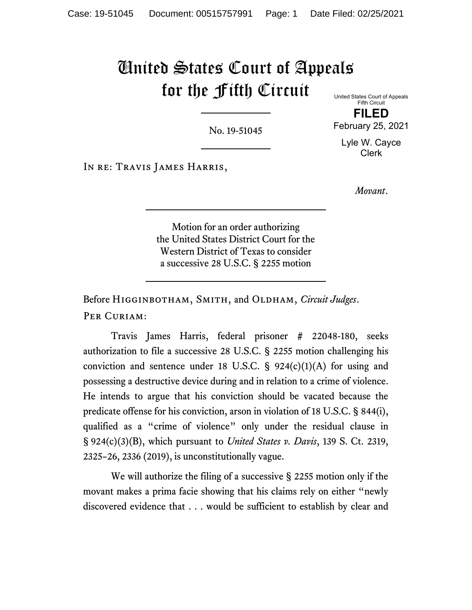# United States Court of Appeals for the Fifth Circuit United States Court of Appeals

No. 19-51045

Fifth Circuit **FILED**

February 25, 2021 Lyle W. Cayce

Clerk

In re: Travis James Harris,

*Movant*.

Motion for an order authorizing the United States District Court for the Western District of Texas to consider a successive 28 U.S.C. § 2255 motion

Before Higginbotham, Smith, and Oldham, *Circuit Judges*. PER CURIAM:

Travis James Harris, federal prisoner # 22048-180, seeks authorization to file a successive 28 U.S.C. § 2255 motion challenging his conviction and sentence under 18 U.S.C.  $\S$  924(c)(1)(A) for using and possessing a destructive device during and in relation to a crime of violence. He intends to argue that his conviction should be vacated because the predicate offense for his conviction, arson in violation of 18 U.S.C. § 844(i), qualified as a "crime of violence" only under the residual clause in § 924(c)(3)(B), which pursuant to *United States v. Davis*, 139 S. Ct. 2319, 2325–26, 2336 (2019), is unconstitutionally vague.

We will authorize the filing of a successive § 2255 motion only if the movant makes a prima facie showing that his claims rely on either "newly discovered evidence that . . . would be sufficient to establish by clear and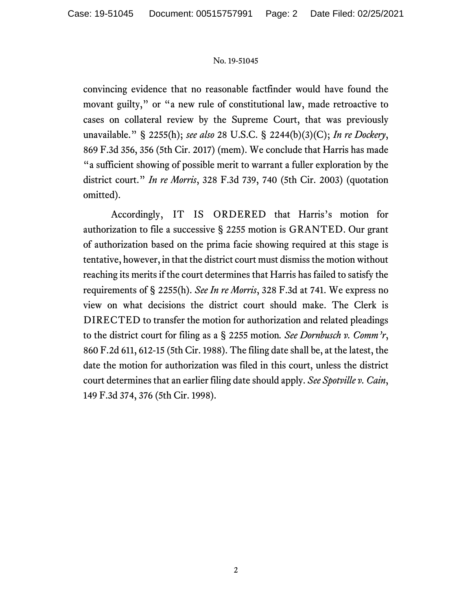convincing evidence that no reasonable factfinder would have found the movant guilty," or "a new rule of constitutional law, made retroactive to cases on collateral review by the Supreme Court, that was previously unavailable." § 2255(h); *see also* 28 U.S.C. § 2244(b)(3)(C); *In re Dockery*, 869 F.3d 356, 356 (5th Cir. 2017) (mem). We conclude that Harris has made "a sufficient showing of possible merit to warrant a fuller exploration by the district court." *In re Morris*, 328 F.3d 739, 740 (5th Cir. 2003) (quotation omitted).

Accordingly, IT IS ORDERED that Harris's motion for authorization to file a successive § 2255 motion is GRANTED. Our grant of authorization based on the prima facie showing required at this stage is tentative, however, in that the district court must dismiss the motion without reaching its merits if the court determines that Harris has failed to satisfy the requirements of § 2255(h). *See In re Morris*, 328 F.3d at 741. We express no view on what decisions the district court should make. The Clerk is DIRECTED to transfer the motion for authorization and related pleadings to the district court for filing as a § 2255 motion*. See Dornbusch v. Comm'r*, 860 F.2d 611, 612-15 (5th Cir. 1988). The filing date shall be, at the latest, the date the motion for authorization was filed in this court, unless the district court determines that an earlier filing date should apply. *See Spotville v. Cain*, 149 F.3d 374, 376 (5th Cir. 1998).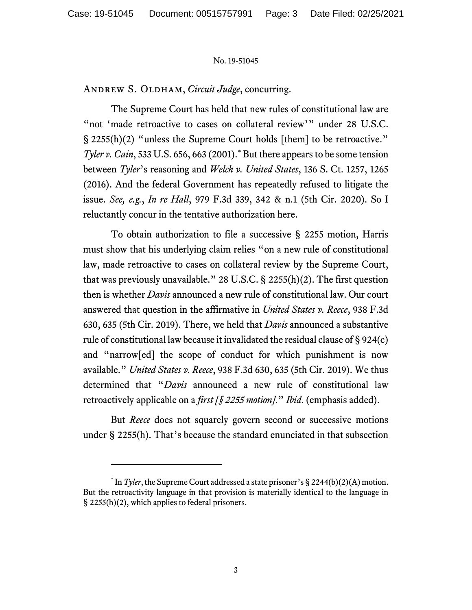ANDREW S. OLDHAM, *Circuit Judge*, concurring.

The Supreme Court has held that new rules of constitutional law are "not 'made retroactive to cases on collateral review'" under 28 U.S.C. § 2255(h)(2) "unless the Supreme Court holds [them] to be retroactive." *Tyler v. Cain*, 533 U.S. 656, 663 (2001). [\\*](#page-2-0) But there appears to be some tension between *Tyler*'s reasoning and *Welch v. United States*, 136 S. Ct. 1257, 1265 (2016). And the federal Government has repeatedly refused to litigate the issue. *See, e.g.*, *In re Hall*, 979 F.3d 339, 342 & n.1 (5th Cir. 2020). So I reluctantly concur in the tentative authorization here.

To obtain authorization to file a successive § 2255 motion, Harris must show that his underlying claim relies "on a new rule of constitutional law, made retroactive to cases on collateral review by the Supreme Court, that was previously unavailable." 28 U.S.C.  $\S$  2255(h)(2). The first question then is whether *Davis* announced a new rule of constitutional law. Our court answered that question in the affirmative in *United States v. Reece*, 938 F.3d 630, 635 (5th Cir. 2019). There, we held that *Davis* announced a substantive rule of constitutional law because it invalidated the residual clause of § 924(c) and "narrow[ed] the scope of conduct for which punishment is now available." *United States v. Reece*, 938 F.3d 630, 635 (5th Cir. 2019). We thus determined that "*Davis* announced a new rule of constitutional law retroactively applicable on a *first [§ 2255 motion]*." *Ibid*. (emphasis added).

But *Reece* does not squarely govern second or successive motions under § 2255(h). That's because the standard enunciated in that subsection

<span id="page-2-0"></span> $*$  In *Tyler*, the Supreme Court addressed a state prisoner's § 2244(b)(2)(A) motion. But the retroactivity language in that provision is materially identical to the language in § 2255(h)(2), which applies to federal prisoners.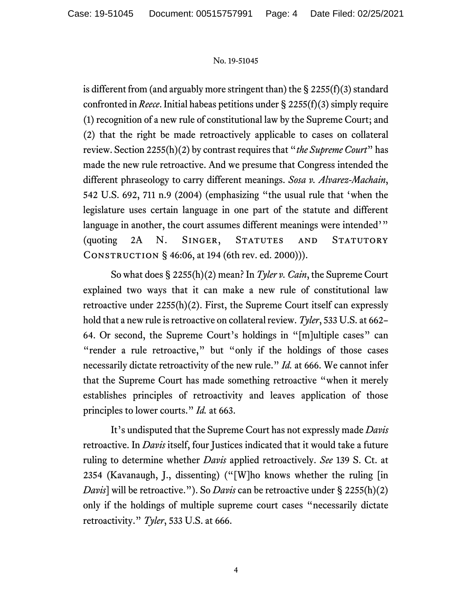is different from (and arguably more stringent than) the  $\S$  2255(f)(3) standard confronted in *Reece*. Initial habeas petitions under § 2255(f)(3) simply require (1) recognition of a new rule of constitutional law by the Supreme Court; and (2) that the right be made retroactively applicable to cases on collateral review. Section 2255(h)(2) by contrast requires that "*the Supreme Court*" has made the new rule retroactive. And we presume that Congress intended the different phraseology to carry different meanings. *Sosa v. Alvarez-Machain*, 542 U.S. 692, 711 n.9 (2004) (emphasizing "the usual rule that 'when the legislature uses certain language in one part of the statute and different language in another, the court assumes different meanings were intended'" (quoting 2A N. Singer, Statutes and Statutory Construction § 46:06, at 194 (6th rev. ed. 2000))).

So what does § 2255(h)(2) mean? In *Tyler v. Cain*, the Supreme Court explained two ways that it can make a new rule of constitutional law retroactive under 2255(h)(2). First, the Supreme Court itself can expressly hold that a new rule is retroactive on collateral review. *Tyler*, 533 U.S. at 662– 64. Or second, the Supreme Court's holdings in "[m]ultiple cases" can "render a rule retroactive," but "only if the holdings of those cases necessarily dictate retroactivity of the new rule." *Id.* at 666. We cannot infer that the Supreme Court has made something retroactive "when it merely establishes principles of retroactivity and leaves application of those principles to lower courts." *Id.* at 663.

It's undisputed that the Supreme Court has not expressly made *Davis*  retroactive. In *Davis* itself, four Justices indicated that it would take a future ruling to determine whether *Davis* applied retroactively. *See* 139 S. Ct. at 2354 (Kavanaugh, J., dissenting) ("[W]ho knows whether the ruling [in *Davis*] will be retroactive."). So *Davis* can be retroactive under § 2255(h)(2) only if the holdings of multiple supreme court cases "necessarily dictate retroactivity." *Tyler*, 533 U.S. at 666.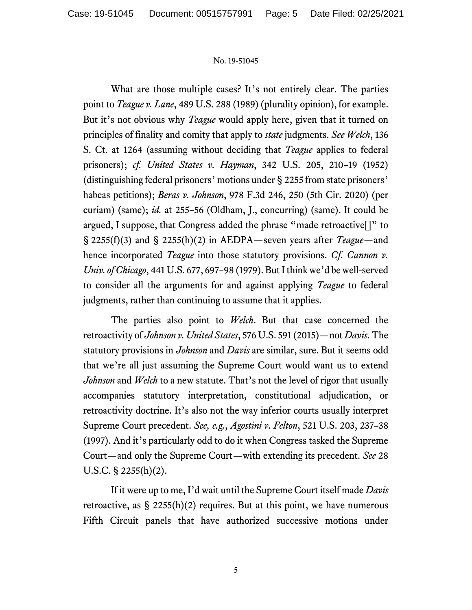What are those multiple cases? It's not entirely clear. The parties point to *Teague v. Lane*, 489 U.S. 288 (1989) (plurality opinion), for example. But it's not obvious why *Teague* would apply here, given that it turned on principles of finality and comity that apply to *state* judgments. *See Welch*, 136 S. Ct. at 1264 (assuming without deciding that *Teague* applies to federal prisoners); *cf. United States v. Hayman*, 342 U.S. 205, 210–19 (1952) (distinguishing federal prisoners' motions under § 2255 from state prisoners' habeas petitions); *Beras v. Johnson*, 978 F.3d 246, 250 (5th Cir. 2020) (per curiam) (same); *id.* at 255–56 (Oldham, J., concurring) (same). It could be argued, I suppose, that Congress added the phrase "made retroactive[]" to § 2255(f)(3) and § 2255(h)(2) in AEDPA—seven years after *Teague*—and hence incorporated *Teague* into those statutory provisions. *Cf. Cannon v. Univ. of Chicago*, 441 U.S. 677, 697–98 (1979). But I think we'd be well-served to consider all the arguments for and against applying *Teague* to federal judgments, rather than continuing to assume that it applies.

The parties also point to *Welch*. But that case concerned the retroactivity of *Johnson v. United States*, 576 U.S. 591 (2015)—not *Davis*. The statutory provisions in *Johnson* and *Davis* are similar, sure. But it seems odd that we're all just assuming the Supreme Court would want us to extend *Johnson* and *Welch* to a new statute. That's not the level of rigor that usually accompanies statutory interpretation, constitutional adjudication, or retroactivity doctrine. It's also not the way inferior courts usually interpret Supreme Court precedent. *See, e.g.*, *Agostini v. Felton*, 521 U.S. 203, 237–38 (1997). And it's particularly odd to do it when Congress tasked the Supreme Court—and only the Supreme Court—with extending its precedent. *See* 28 U.S.C. § 2255(h)(2).

If it were up to me, I'd wait until the Supreme Court itself made *Davis* retroactive, as  $\S$  2255(h)(2) requires. But at this point, we have numerous Fifth Circuit panels that have authorized successive motions under